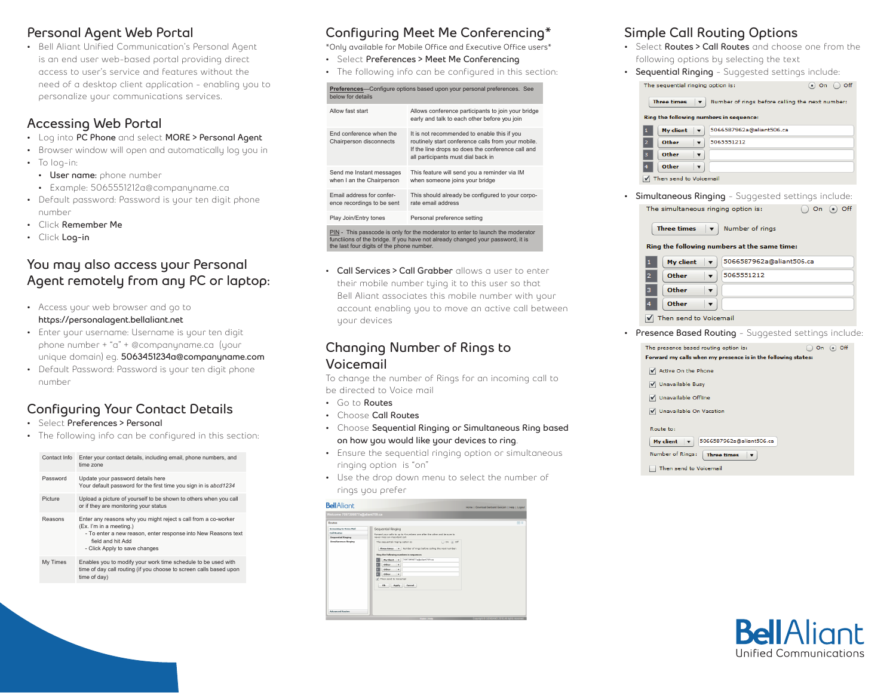#### **Personal Agent Web Portal**

• Bell Aliant Unified Communication's Personal Agent is an end user web-based portal providing direct access to user's service and features without the need of a desktop client application - enabling you to personalize your communications services.

### **Accessing Web Portal**

- Log into **PC Phone** and select **MORE > Personal Agent**
- Browser window will open and automatically log you in
- To log-in:
	- **• User name:** phone number
	- Example: 5065551212a@companyname.ca
- Default password: Password is your ten digit phone number
- Click **Remember Me**
- Click **Log-in**

#### **You may also access your Personal Agent remotely from any PC or laptop:**

- Access your web browser and go to **https://personalagent.bellaliant.net**
- Enter your username: Username is your ten digit phone number + "a" + @companyname.ca (your unique domain) eg. **5063451234a@companyname.com**
- Default Password: Password is your ten digit phone number

## **Configuring Your Contact Details**

- Select **Preferences > Personal**
- The following info can be configured in this section:

| Contact Info | Enter your contact details, including email, phone numbers, and<br>time zone                                                                                                                                     |  |  |
|--------------|------------------------------------------------------------------------------------------------------------------------------------------------------------------------------------------------------------------|--|--|
| Password     | Update your password details here<br>Your default password for the first time you sign in is abcd1234                                                                                                            |  |  |
| Picture      | Upload a picture of yourself to be shown to others when you call<br>or if they are monitoring your status                                                                                                        |  |  |
| Reasons      | Enter any reasons why you might reject s call from a co-worker<br>(Ex. I'm in a meeting.)<br>- To enter a new reason, enter response into New Reasons text<br>field and hit Add<br>- Click Apply to save changes |  |  |
| My Times     | Enables you to modify your work time schedule to be used with<br>time of day call routing (if you choose to screen calls based upon<br>time of day)                                                              |  |  |

# **Configuring Meet Me Conferencing\***

**\*Only available for Mobile Office and Executive Office users\***

- Select **Preferences > Meet Me Conferencing**
- The following info can be configured in this section:

| Preferences-Configure options based upon your personal preferences. See<br>below for details                                                                                                                  |                                                                                                                                                                                              |  |  |  |  |
|---------------------------------------------------------------------------------------------------------------------------------------------------------------------------------------------------------------|----------------------------------------------------------------------------------------------------------------------------------------------------------------------------------------------|--|--|--|--|
| Allow fast start                                                                                                                                                                                              | Allows conference participants to join your bridge<br>early and talk to each other before you join                                                                                           |  |  |  |  |
| End conference when the<br>Chairperson disconnects                                                                                                                                                            | It is not recommended to enable this if you<br>routinely start conference calls from your mobile.<br>If the line drops so does the conference call and<br>all participants must dial back in |  |  |  |  |
| Send me Instant messages<br>when I an the Chairperson                                                                                                                                                         | This feature will send you a reminder via IM<br>when someone joins your bridge                                                                                                               |  |  |  |  |
| Email address for confer-<br>ence recordings to be sent                                                                                                                                                       | This should already be configured to your corpo-<br>rate email address                                                                                                                       |  |  |  |  |
| Play Join/Entry tones                                                                                                                                                                                         | Personal preference setting                                                                                                                                                                  |  |  |  |  |
| PIN - This passcode is only for the moderator to enter to launch the moderator<br>functiions of the bridge. If you have not already changed your password, it is<br>the last four digits of the phone number. |                                                                                                                                                                                              |  |  |  |  |

**• Call Services > Call Grabber** allows a user to enter their mobile number tying it to this user so that Bell Aliant associates this mobile number with your account enabling you to move an active call between your devices

#### **Changing Number of Rings to Voicemail**

To change the number of Rings for an incoming call to be directed to Voice mail

- Go to **Routes**
- Choose **Call Routes**
- Choose **Sequential Ringing or Simultaneous Ring based on how you would like your devices to ring**.
- Ensure the sequential ringing option or simultaneous ringing option is "on"
- Use the drop down menu to select the number of rings you prefer



#### **Simple Call Routing Options**

- Select **Routes > Call Routes** and choose one from the following options by selecting the text
- **• Sequential Ringing** Suggested settings include:



Then send to Voicemail